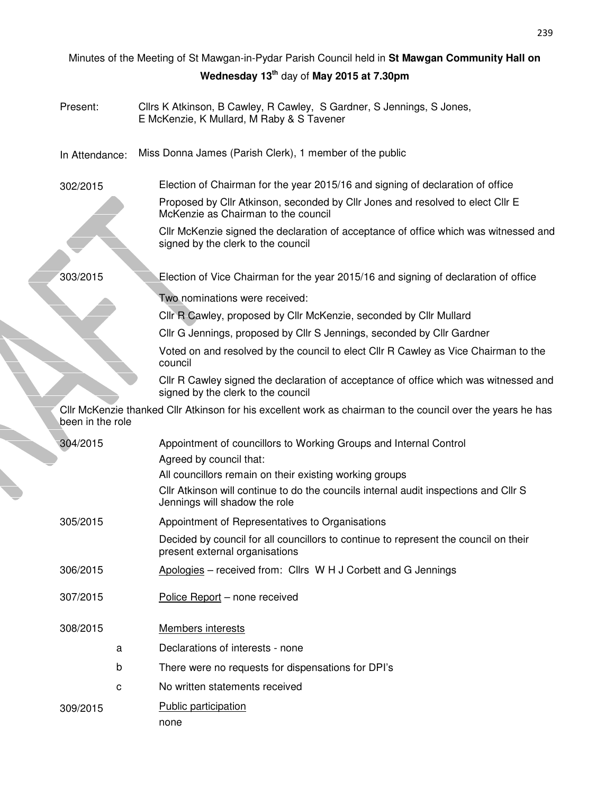| Minutes of the Meeting of St Mawgan-in-Pydar Parish Council held in St Mawgan Community Hall on |                                                                                                                            |  |  |  |  |  |  |
|-------------------------------------------------------------------------------------------------|----------------------------------------------------------------------------------------------------------------------------|--|--|--|--|--|--|
| Wednesday 13 <sup>th</sup> day of May 2015 at 7.30pm                                            |                                                                                                                            |  |  |  |  |  |  |
| Present:                                                                                        | Cllrs K Atkinson, B Cawley, R Cawley, S Gardner, S Jennings, S Jones,<br>E McKenzie, K Mullard, M Raby & S Tavener         |  |  |  |  |  |  |
| In Attendance:                                                                                  | Miss Donna James (Parish Clerk), 1 member of the public                                                                    |  |  |  |  |  |  |
| 302/2015                                                                                        | Election of Chairman for the year 2015/16 and signing of declaration of office                                             |  |  |  |  |  |  |
|                                                                                                 | Proposed by Cllr Atkinson, seconded by Cllr Jones and resolved to elect Cllr E<br>McKenzie as Chairman to the council      |  |  |  |  |  |  |
|                                                                                                 | CIIr McKenzie signed the declaration of acceptance of office which was witnessed and<br>signed by the clerk to the council |  |  |  |  |  |  |
| 303/2015                                                                                        | Election of Vice Chairman for the year 2015/16 and signing of declaration of office                                        |  |  |  |  |  |  |
|                                                                                                 | Two nominations were received:                                                                                             |  |  |  |  |  |  |
|                                                                                                 | Cllr R Cawley, proposed by Cllr McKenzie, seconded by Cllr Mullard                                                         |  |  |  |  |  |  |
|                                                                                                 | Cllr G Jennings, proposed by Cllr S Jennings, seconded by Cllr Gardner                                                     |  |  |  |  |  |  |
|                                                                                                 | Voted on and resolved by the council to elect Cllr R Cawley as Vice Chairman to the<br>council                             |  |  |  |  |  |  |
|                                                                                                 | Cllr R Cawley signed the declaration of acceptance of office which was witnessed and<br>signed by the clerk to the council |  |  |  |  |  |  |
| been in the role                                                                                | Cllr McKenzie thanked Cllr Atkinson for his excellent work as chairman to the council over the years he has                |  |  |  |  |  |  |
| 304/2015                                                                                        | Appointment of councillors to Working Groups and Internal Control                                                          |  |  |  |  |  |  |
|                                                                                                 | Agreed by council that:                                                                                                    |  |  |  |  |  |  |
|                                                                                                 | All councillors remain on their existing working groups                                                                    |  |  |  |  |  |  |
|                                                                                                 | CIIr Atkinson will continue to do the councils internal audit inspections and CIIr S<br>Jennings will shadow the role      |  |  |  |  |  |  |
| 305/2015                                                                                        | Appointment of Representatives to Organisations                                                                            |  |  |  |  |  |  |
|                                                                                                 | Decided by council for all councillors to continue to represent the council on their<br>present external organisations     |  |  |  |  |  |  |
| 306/2015                                                                                        | Apologies - received from: Cllrs W H J Corbett and G Jennings                                                              |  |  |  |  |  |  |
| 307/2015                                                                                        | Police Report - none received                                                                                              |  |  |  |  |  |  |
| 308/2015                                                                                        | <b>Members interests</b>                                                                                                   |  |  |  |  |  |  |
| a                                                                                               | Declarations of interests - none                                                                                           |  |  |  |  |  |  |
| b                                                                                               | There were no requests for dispensations for DPI's                                                                         |  |  |  |  |  |  |
| C                                                                                               | No written statements received                                                                                             |  |  |  |  |  |  |
| 309/2015                                                                                        | Public participation<br>none                                                                                               |  |  |  |  |  |  |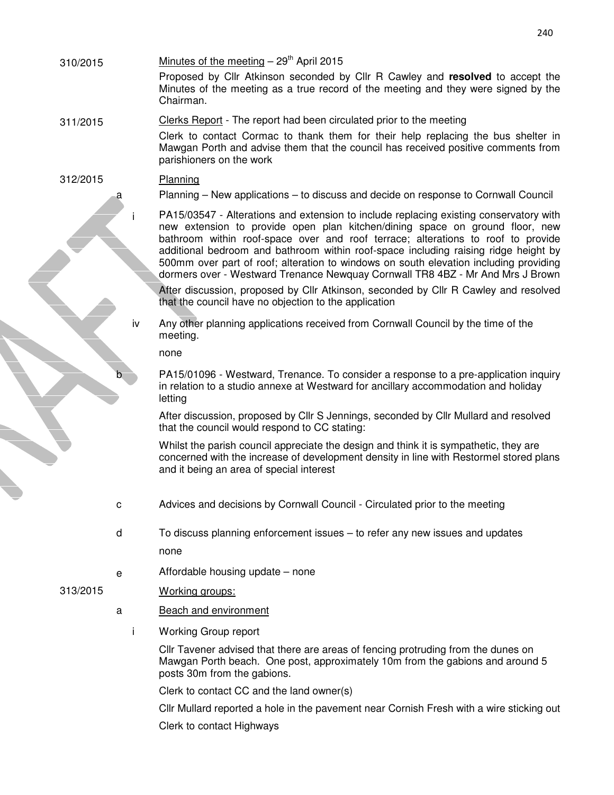- 
- $310/2015$  Minutes of the meeting  $-29<sup>th</sup>$  April 2015

Proposed by Cllr Atkinson seconded by Cllr R Cawley and **resolved** to accept the Minutes of the meeting as a true record of the meeting and they were signed by the Chairman.

## 311/2015 Clerks Report - The report had been circulated prior to the meeting

Clerk to contact Cormac to thank them for their help replacing the bus shelter in Mawgan Porth and advise them that the council has received positive comments from parishioners on the work

## 312/2015 Planning

a Planning – New applications – to discuss and decide on response to Cornwall Council

PA15/03547 - Alterations and extension to include replacing existing conservatory with new extension to provide open plan kitchen/dining space on ground floor, new bathroom within roof-space over and roof terrace; alterations to roof to provide additional bedroom and bathroom within roof-space including raising ridge height by 500mm over part of roof; alteration to windows on south elevation including providing dormers over - Westward Trenance Newquay Cornwall TR8 4BZ - Mr And Mrs J Brown

After discussion, proposed by Cllr Atkinson, seconded by Cllr R Cawley and resolved that the council have no objection to the application

iv Any other planning applications received from Cornwall Council by the time of the meeting.

none

PA15/01096 - Westward, Trenance. To consider a response to a pre-application inquiry in relation to a studio annexe at Westward for ancillary accommodation and holiday letting

After discussion, proposed by Cllr S Jennings, seconded by Cllr Mullard and resolved that the council would respond to CC stating:

Whilst the parish council appreciate the design and think it is sympathetic, they are concerned with the increase of development density in line with Restormel stored plans and it being an area of special interest

- c Advices and decisions by Cornwall Council Circulated prior to the meeting
- d To discuss planning enforcement issues to refer any new issues and updates none
- e Affordable housing update none

## 313/2015 Working groups:

- a Beach and environment
	- i Working Group report

Cllr Tavener advised that there are areas of fencing protruding from the dunes on Mawgan Porth beach. One post, approximately 10m from the gabions and around 5 posts 30m from the gabions.

Clerk to contact CC and the land owner(s)

Cllr Mullard reported a hole in the pavement near Cornish Fresh with a wire sticking out

Clerk to contact Highways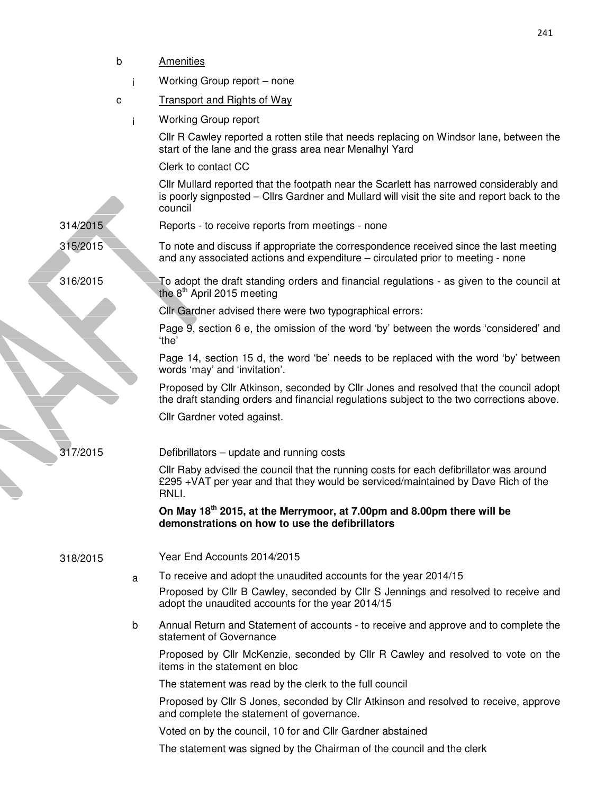|                      | b | Amenities                                                                                                                                                                                         |
|----------------------|---|---------------------------------------------------------------------------------------------------------------------------------------------------------------------------------------------------|
|                      |   | Working Group report - none                                                                                                                                                                       |
|                      | c | <b>Transport and Rights of Way</b>                                                                                                                                                                |
|                      |   | <b>Working Group report</b>                                                                                                                                                                       |
|                      |   | CIIr R Cawley reported a rotten stile that needs replacing on Windsor lane, between the<br>start of the lane and the grass area near Menalhyl Yard                                                |
|                      |   | Clerk to contact CC                                                                                                                                                                               |
|                      |   | Cllr Mullard reported that the footpath near the Scarlett has narrowed considerably and<br>is poorly signposted – Cllrs Gardner and Mullard will visit the site and report back to the<br>council |
| 314/2015             |   | Reports - to receive reports from meetings - none                                                                                                                                                 |
| 315/2015<br>316/2015 |   | To note and discuss if appropriate the correspondence received since the last meeting<br>and any associated actions and expenditure – circulated prior to meeting - none                          |
|                      |   | $\mathbf I$ o adopt the draft standing orders and financial regulations - as given to the council at<br>the $8th$ April 2015 meeting                                                              |
|                      |   | Clir Gardner advised there were two typographical errors:                                                                                                                                         |
|                      |   | Page 9, section 6 e, the omission of the word 'by' between the words 'considered' and<br>'the'                                                                                                    |
|                      |   | Page 14, section 15 d, the word 'be' needs to be replaced with the word 'by' between<br>words 'may' and 'invitation'.                                                                             |
|                      |   | Proposed by Cllr Atkinson, seconded by Cllr Jones and resolved that the council adopt<br>the draft standing orders and financial regulations subject to the two corrections above.                |
|                      |   | Cllr Gardner voted against.                                                                                                                                                                       |
| 317/2015             |   | Defibrillators – update and running costs                                                                                                                                                         |
|                      |   | CIIr Raby advised the council that the running costs for each defibrillator was around<br>£295 +VAT per year and that they would be serviced/maintained by Dave Rich of the<br>RNLI.              |
|                      |   | On May 18 <sup>th</sup> 2015, at the Merrymoor, at 7.00pm and 8.00pm there will be<br>demonstrations on how to use the defibrillators                                                             |
| 318/2015             |   | Year End Accounts 2014/2015                                                                                                                                                                       |
|                      | a | To receive and adopt the unaudited accounts for the year 2014/15                                                                                                                                  |
|                      |   | Proposed by Cllr B Cawley, seconded by Cllr S Jennings and resolved to receive and<br>adopt the unaudited accounts for the year 2014/15                                                           |
|                      | b | Annual Return and Statement of accounts - to receive and approve and to complete the<br>statement of Governance                                                                                   |
|                      |   | Proposed by Cllr McKenzie, seconded by Cllr R Cawley and resolved to vote on the<br>items in the statement en bloc                                                                                |
|                      |   | The statement was read by the clerk to the full council                                                                                                                                           |
|                      |   | Proposed by Cllr S Jones, seconded by Cllr Atkinson and resolved to receive, approve<br>and complete the statement of governance.                                                                 |
|                      |   | Voted on by the council, 10 for and Cllr Gardner abstained                                                                                                                                        |
|                      |   | The statement was signed by the Chairman of the council and the clerk                                                                                                                             |

241